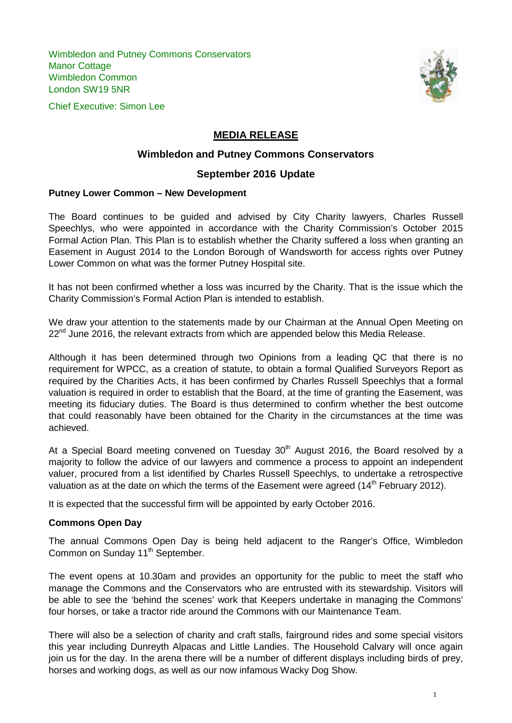Wimbledon and Putney Commons Conservators Manor Cottage Wimbledon Common London SW19 5NR





# **MEDIA RELEASE**

## **Wimbledon and Putney Commons Conservators**

## **September 2016 Update**

#### **Putney Lower Common – New Development**

The Board continues to be guided and advised by City Charity lawyers, Charles Russell Speechlys, who were appointed in accordance with the Charity Commission's October 2015 Formal Action Plan. This Plan is to establish whether the Charity suffered a loss when granting an Easement in August 2014 to the London Borough of Wandsworth for access rights over Putney Lower Common on what was the former Putney Hospital site.

It has not been confirmed whether a loss was incurred by the Charity. That is the issue which the Charity Commission's Formal Action Plan is intended to establish.

We draw your attention to the statements made by our Chairman at the Annual Open Meeting on  $22<sup>nd</sup>$  June 2016, the relevant extracts from which are appended below this Media Release.

Although it has been determined through two Opinions from a leading QC that there is no requirement for WPCC, as a creation of statute, to obtain a formal Qualified Surveyors Report as required by the Charities Acts, it has been confirmed by Charles Russell Speechlys that a formal valuation is required in order to establish that the Board, at the time of granting the Easement, was meeting its fiduciary duties. The Board is thus determined to confirm whether the best outcome that could reasonably have been obtained for the Charity in the circumstances at the time was achieved.

At a Special Board meeting convened on Tuesday  $30<sup>th</sup>$  August 2016, the Board resolved by a majority to follow the advice of our lawyers and commence a process to appoint an independent valuer, procured from a list identified by Charles Russell Speechlys, to undertake a retrospective valuation as at the date on which the terms of the Easement were agreed  $(14<sup>th</sup>$  February 2012).

It is expected that the successful firm will be appointed by early October 2016.

### **Commons Open Day**

The annual Commons Open Day is being held adjacent to the Ranger's Office, Wimbledon Common on Sunday 11<sup>th</sup> September.

The event opens at 10.30am and provides an opportunity for the public to meet the staff who manage the Commons and the Conservators who are entrusted with its stewardship. Visitors will be able to see the 'behind the scenes' work that Keepers undertake in managing the Commons' four horses, or take a tractor ride around the Commons with our Maintenance Team.

There will also be a selection of charity and craft stalls, fairground rides and some special visitors this year including Dunreyth Alpacas and Little Landies. The Household Calvary will once again join us for the day. In the arena there will be a number of different displays including birds of prey, horses and working dogs, as well as our now infamous Wacky Dog Show.